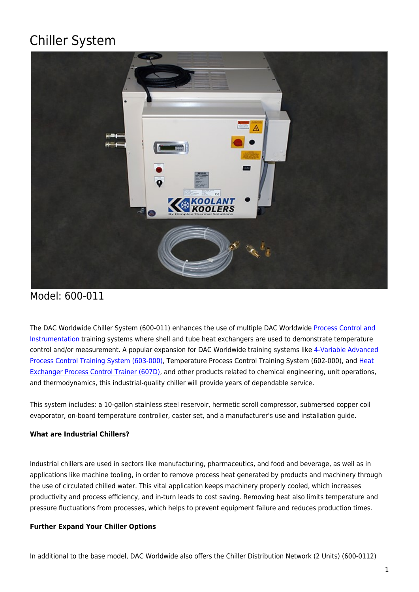# Chiller System



# Model: 600-011

The DAC Worldwide Chiller System (600-011) enhances the use of multiple DAC Worldwide [Process Control and](https://dacworldwide.com/technical-topics/process-control-and-instrumentation/) [Instrumentation](https://dacworldwide.com/technical-topics/process-control-and-instrumentation/) training systems where shell and tube heat exchangers are used to demonstrate temperature control and/or measurement. A popular expansion for DAC Worldwide training systems like [4-Variable Advanced](https://dacworldwide.com/product/4-variable-advanced-process-control-training-system/) [Process Control Training System \(603-000\)](https://dacworldwide.com/product/4-variable-advanced-process-control-training-system/), Temperature Process Control Training System (602-000), and [Heat](https://dacworldwide.com/product/heat-exchanger-process-control-training-system/) [Exchanger Process Control Trainer \(607D\)](https://dacworldwide.com/product/heat-exchanger-process-control-training-system/), and other products related to chemical engineering, unit operations, and thermodynamics, this industrial-quality chiller will provide years of dependable service.

This system includes: a 10-gallon stainless steel reservoir, hermetic scroll compressor, submersed copper coil evaporator, on-board temperature controller, caster set, and a manufacturer's use and installation guide.

## **What are Industrial Chillers?**

Industrial chillers are used in sectors like manufacturing, pharmaceutics, and food and beverage, as well as in applications like machine tooling, in order to remove process heat generated by products and machinery through the use of circulated chilled water. This vital application keeps machinery properly cooled, which increases productivity and process efficiency, and in-turn leads to cost saving. Removing heat also limits temperature and pressure fluctuations from processes, which helps to prevent equipment failure and reduces production times.

## **Further Expand Your Chiller Options**